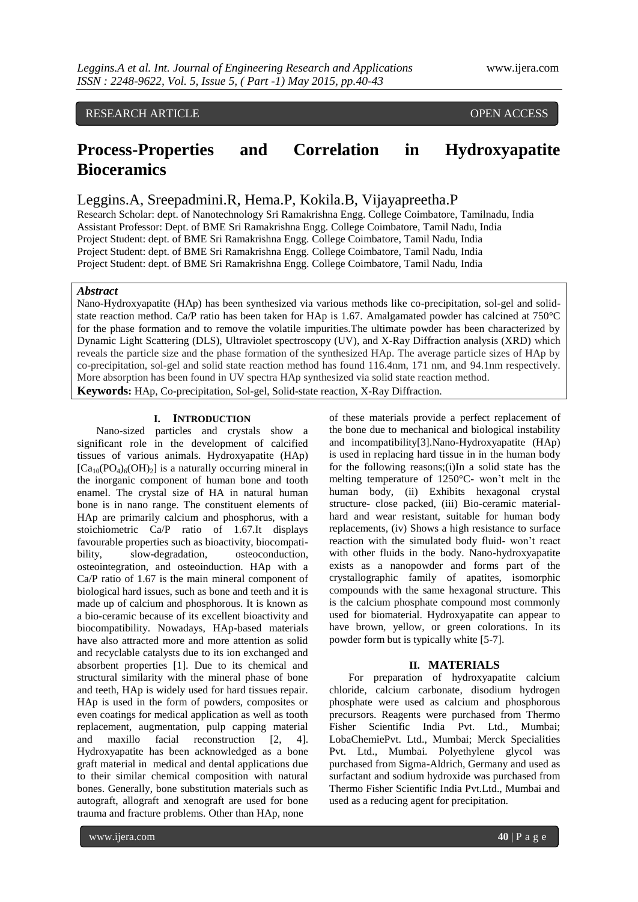# RESEARCH ARTICLE OPEN ACCESS

# **Process-Properties and Correlation in Hydroxyapatite Bioceramics**

# Leggins.A, Sreepadmini.R, Hema.P, Kokila.B, Vijayapreetha.P

Research Scholar: dept. of Nanotechnology Sri Ramakrishna Engg. College Coimbatore, Tamilnadu, India Assistant Professor: Dept. of BME Sri Ramakrishna Engg. College Coimbatore, Tamil Nadu, India Project Student: dept. of BME Sri Ramakrishna Engg. College Coimbatore, Tamil Nadu, India Project Student: dept. of BME Sri Ramakrishna Engg. College Coimbatore, Tamil Nadu, India Project Student: dept. of BME Sri Ramakrishna Engg. College Coimbatore, Tamil Nadu, India

#### *Abstract*

Nano-Hydroxyapatite (HAp) has been synthesized via various methods like co-precipitation, sol-gel and solidstate reaction method. Ca/P ratio has been taken for HAp is 1.67. Amalgamated powder has calcined at 750°C for the phase formation and to remove the volatile impurities.The ultimate powder has been characterized by Dynamic Light Scattering (DLS), Ultraviolet spectroscopy (UV), and X-Ray Diffraction analysis (XRD) which reveals the particle size and the phase formation of the synthesized HAp. The average particle sizes of HAp by co-precipitation, sol-gel and solid state reaction method has found 116.4nm, 171 nm, and 94.1nm respectively. More absorption has been found in UV spectra HAp synthesized via solid state reaction method. **Keywords:** HAp, Co-precipitation, Sol-gel, Solid-state reaction, X-Ray Diffraction.

#### **I. INTRODUCTION**

Nano-sized particles and crystals show a significant role in the development of calcified tissues of various animals. Hydroxyapatite (HAp)  $[Ca_{10}(PO_4)_6(OH)_2]$  is a naturally occurring mineral in the inorganic component of human bone and tooth enamel. The crystal size of HA in natural human bone is in nano range. The constituent elements of HAp are primarily calcium and phosphorus, with a stoichiometric Ca/P ratio of 1.67.It displays favourable properties such as bioactivity, biocompatibility, slow-degradation, osteoconduction, osteointegration, and osteoinduction. HAp with a Ca/P ratio of 1.67 is the main mineral component of biological hard issues, such as bone and teeth and it is made up of calcium and phosphorous. It is known as a bio-ceramic because of its excellent bioactivity and biocompatibility. Nowadays, HAp-based materials have also attracted more and more attention as solid and recyclable catalysts due to its ion exchanged and absorbent properties [1]. Due to its chemical and structural similarity with the mineral phase of bone and teeth, HAp is widely used for hard tissues repair. HAp is used in the form of powders, composites or even coatings for medical application as well as tooth replacement, augmentation, pulp capping material and maxillo facial reconstruction [2, 4]. Hydroxyapatite has been acknowledged as a bone graft material in medical and dental applications due to their similar chemical composition with natural bones. Generally, bone substitution materials such as autograft, allograft and xenograft are used for bone trauma and fracture problems. Other than HAp, none

of these materials provide a perfect replacement of the bone due to mechanical and biological instability and incompatibility[3].Nano-Hydroxyapatite (HAp) is used in replacing hard tissue in in the human body for the following reasons;(i)In a solid state has the melting temperature of 1250°C- won't melt in the human body, (ii) Exhibits hexagonal crystal structure- close packed, (iii) Bio-ceramic materialhard and wear resistant, suitable for human body replacements, (iv) Shows a high resistance to surface reaction with the simulated body fluid- won't react with other fluids in the body. Nano-hydroxyapatite exists as a nanopowder and forms part of the crystallographic family of apatites, isomorphic compounds with the same hexagonal structure. This is the calcium phosphate compound most commonly used for biomaterial. Hydroxyapatite can appear to have brown, yellow, or green colorations. In its powder form but is typically white [5-7].

#### **II. MATERIALS**

For preparation of hydroxyapatite calcium chloride, calcium carbonate, disodium hydrogen phosphate were used as calcium and phosphorous precursors. Reagents were purchased from Thermo Fisher Scientific India Pvt. Ltd., Mumbai; LobaChemiePvt. Ltd., Mumbai; Merck Specialities Pvt. Ltd., Mumbai. Polyethylene glycol was purchased from Sigma-Aldrich, Germany and used as surfactant and sodium hydroxide was purchased from Thermo Fisher Scientific India Pvt.Ltd., Mumbai and used as a reducing agent for precipitation.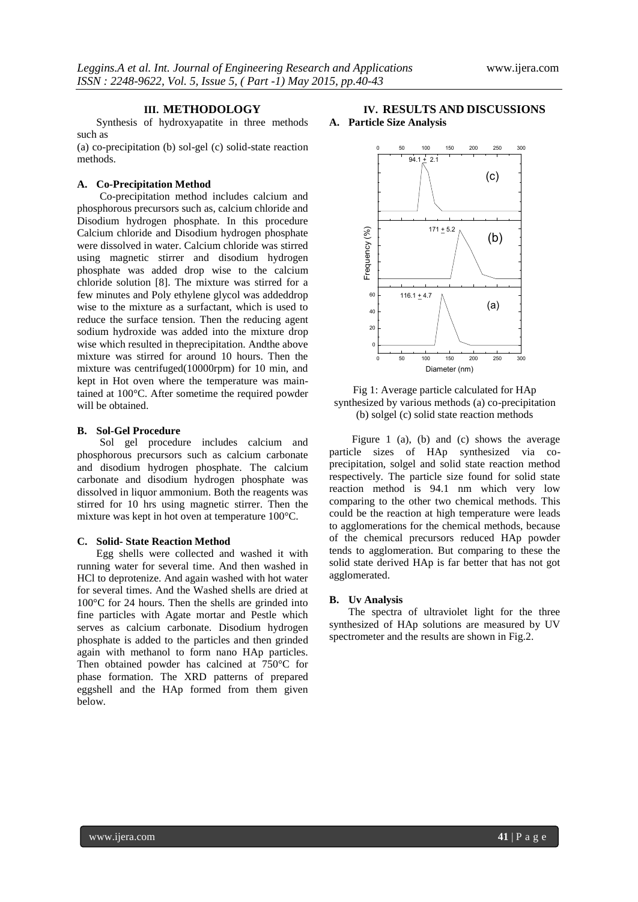#### **III. METHODOLOGY**

Synthesis of hydroxyapatite in three methods such as

(a) co-precipitation (b) sol-gel (c) solid-state reaction methods.

### **A. Co-Precipitation Method**

Co-precipitation method includes calcium and phosphorous precursors such as, calcium chloride and Disodium hydrogen phosphate. In this procedure Calcium chloride and Disodium hydrogen phosphate were dissolved in water. Calcium chloride was stirred using magnetic stirrer and disodium hydrogen phosphate was added drop wise to the calcium chloride solution [8]. The mixture was stirred for a few minutes and Poly ethylene glycol was addeddrop wise to the mixture as a surfactant, which is used to reduce the surface tension. Then the reducing agent sodium hydroxide was added into the mixture drop wise which resulted in theprecipitation. Andthe above mixture was stirred for around 10 hours. Then the mixture was centrifuged(10000rpm) for 10 min, and kept in Hot oven where the temperature was maintained at 100°C. After sometime the required powder will be obtained.

# **B. Sol-Gel Procedure**

Sol gel procedure includes calcium and phosphorous precursors such as calcium carbonate and disodium hydrogen phosphate. The calcium carbonate and disodium hydrogen phosphate was dissolved in liquor ammonium. Both the reagents was stirred for 10 hrs using magnetic stirrer. Then the mixture was kept in hot oven at temperature 100°C.

#### **C. Solid- State Reaction Method**

Egg shells were collected and washed it with running water for several time. And then washed in HCl to deprotenize. And again washed with hot water for several times. And the Washed shells are dried at 100°C for 24 hours. Then the shells are grinded into fine particles with Agate mortar and Pestle which serves as calcium carbonate. Disodium hydrogen phosphate is added to the particles and then grinded again with methanol to form nano HAp particles. Then obtained powder has calcined at 750°C for phase formation. The XRD patterns of prepared eggshell and the HAp formed from them given below.

## **IV. RESULTS AND DISCUSSIONS A. Particle Size Analysis**



Fig 1: Average particle calculated for HAp synthesized by various methods (a) co-precipitation (b) solgel (c) solid state reaction methods

Figure 1 (a), (b) and (c) shows the average particle sizes of HAp synthesized via coprecipitation, solgel and solid state reaction method respectively. The particle size found for solid state reaction method is 94.1 nm which very low comparing to the other two chemical methods. This could be the reaction at high temperature were leads to agglomerations for the chemical methods, because of the chemical precursors reduced HAp powder tends to agglomeration. But comparing to these the solid state derived HAp is far better that has not got agglomerated.

#### **B. Uv Analysis**

The spectra of ultraviolet light for the three synthesized of HAp solutions are measured by UV spectrometer and the results are shown in Fig.2.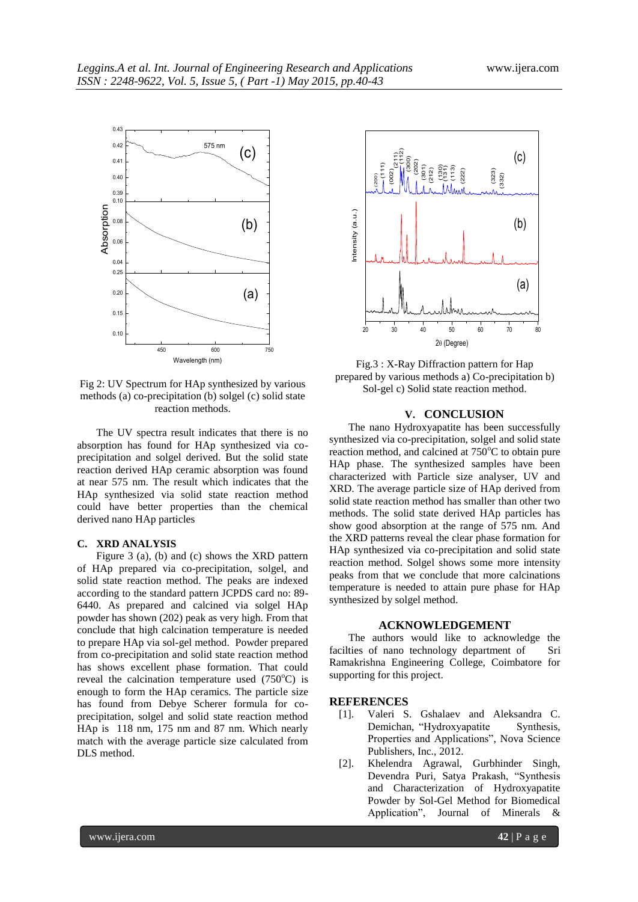

Fig 2: UV Spectrum for HAp synthesized by various methods (a) co-precipitation (b) solgel (c) solid state reaction methods.

The UV spectra result indicates that there is no absorption has found for HAp synthesized via coprecipitation and solgel derived. But the solid state reaction derived HAp ceramic absorption was found at near 575 nm. The result which indicates that the HAp synthesized via solid state reaction method could have better properties than the chemical derived nano HAp particles

# **C. XRD ANALYSIS**

Figure 3 (a), (b) and (c) shows the XRD pattern of HAp prepared via co-precipitation, solgel, and solid state reaction method. The peaks are indexed according to the standard pattern JCPDS card no: 89- 6440. As prepared and calcined via solgel HAp powder has shown (202) peak as very high. From that conclude that high calcination temperature is needed to prepare HAp via sol-gel method. Powder prepared from co-precipitation and solid state reaction method has shows excellent phase formation. That could reveal the calcination temperature used  $(750^{\circ}$ C) is enough to form the HAp ceramics. The particle size has found from Debye Scherer formula for coprecipitation, solgel and solid state reaction method HAp is 118 nm, 175 nm and 87 nm. Which nearly match with the average particle size calculated from DLS method.



Fig.3 : X-Ray Diffraction pattern for Hap prepared by various methods a) Co-precipitation b) Sol-gel c) Solid state reaction method.

#### **V. CONCLUSION**

The nano Hydroxyapatite has been successfully synthesized via co-precipitation, solgel and solid state reaction method, and calcined at  $750^{\circ}$ C to obtain pure HAp phase. The synthesized samples have been characterized with Particle size analyser, UV and XRD. The average particle size of HAp derived from solid state reaction method has smaller than other two methods. The solid state derived HAp particles has show good absorption at the range of 575 nm. And the XRD patterns reveal the clear phase formation for HAp synthesized via co-precipitation and solid state reaction method. Solgel shows some more intensity peaks from that we conclude that more calcinations temperature is needed to attain pure phase for HAp synthesized by solgel method.

#### **ACKNOWLEDGEMENT**

The authors would like to acknowledge the facilties of nano technology department of Sri Ramakrishna Engineering College, Coimbatore for supporting for this project.

## **REFERENCES**

- [1]. Valeri S. Gshalaev and Aleksandra C. Demichan, "Hydroxyapatite Synthesis, Properties and Applications", Nova Science Publishers, Inc., 2012.
- [2]. Khelendra Agrawal, Gurbhinder Singh, Devendra Puri, Satya Prakash, "Synthesis and Characterization of Hydroxyapatite Powder by Sol-Gel Method for Biomedical Application", Journal of Minerals &